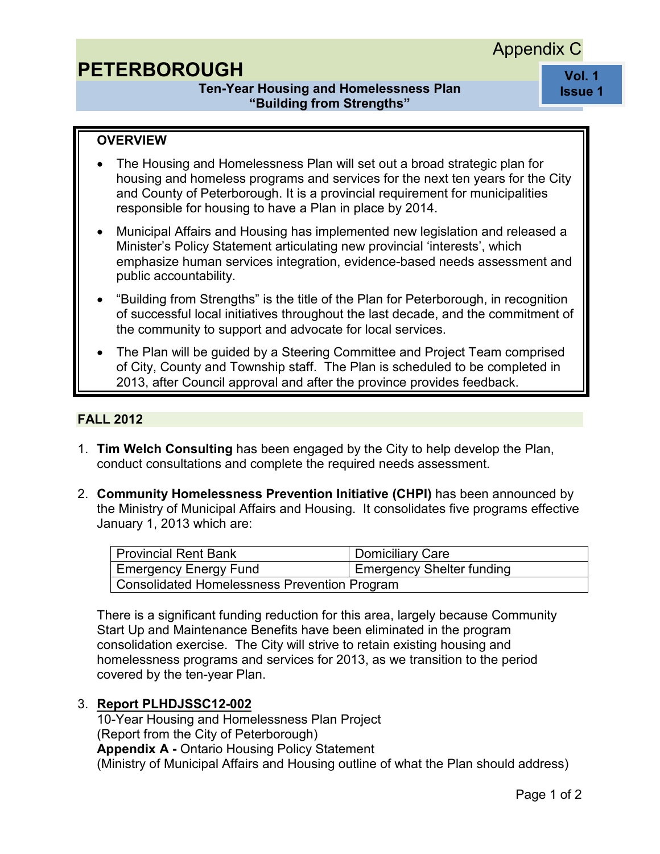## Appendix C

# **PETERBOROUGH**

## **Ten-Year Housing and Homelessness Plan "Building from Strengths"**

**Vol. 1 Issue 1** 

## **OVERVIEW**

- The Housing and Homelessness Plan will set out a broad strategic plan for housing and homeless programs and services for the next ten years for the City and County of Peterborough. It is a provincial requirement for municipalities responsible for housing to have a Plan in place by 2014.
- Municipal Affairs and Housing has implemented new legislation and released a Minister's Policy Statement articulating new provincial 'interests', which emphasize human services integration, evidence-based needs assessment and public accountability.
- "Building from Strengths" is the title of the Plan for Peterborough, in recognition of successful local initiatives throughout the last decade, and the commitment of the community to support and advocate for local services.
- The Plan will be guided by a Steering Committee and Project Team comprised of City, County and Township staff. The Plan is scheduled to be completed in 2013, after Council approval and after the province provides feedback.

#### **FALL 2012**

- 1. **Tim Welch Consulting** has been engaged by the City to help develop the Plan, conduct consultations and complete the required needs assessment.
- 2. **Community Homelessness Prevention Initiative (CHPI)** has been announced by the Ministry of Municipal Affairs and Housing. It consolidates five programs effective January 1, 2013 which are:

| Provincial Rent Bank                         | Domiciliary Care            |
|----------------------------------------------|-----------------------------|
| <b>Emergency Energy Fund</b>                 | I Emergency Shelter funding |
| Consolidated Homelessness Prevention Program |                             |

There is a significant funding reduction for this area, largely because Community Start Up and Maintenance Benefits have been eliminated in the program consolidation exercise. The City will strive to retain existing housing and homelessness programs and services for 2013, as we transition to the period covered by the ten-year Plan.

#### 3. **[Report PLHDJSSC12-002](http://eagenda.city.peterborough.on.ca/sirepub/agdocs.aspx?doctype=agenda&itemid=13049)**

10-Year Housing and Homelessness Plan Project (Report from the City of Peterborough) **Appendix A -** Ontario Housing Policy Statement (Ministry of Municipal Affairs and Housing outline of what the Plan should address)